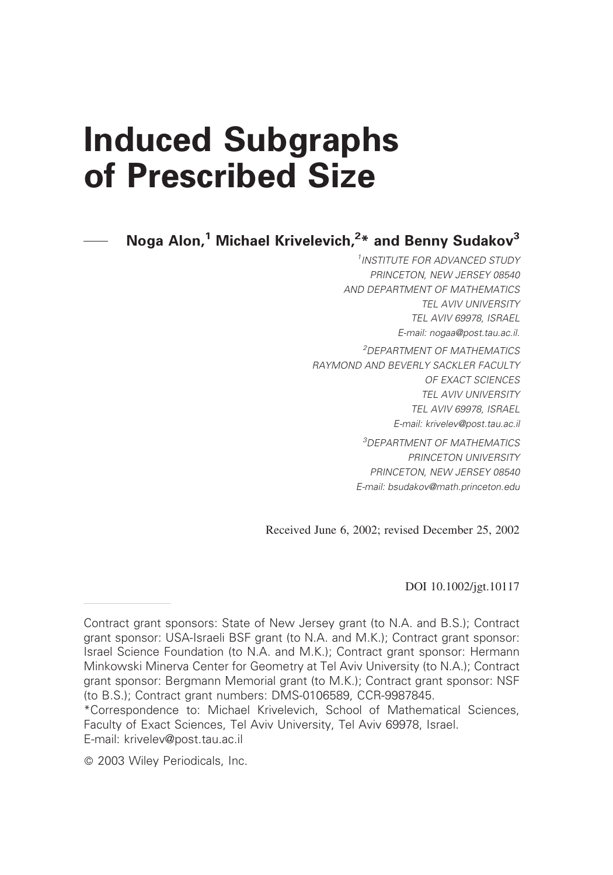# Induced Subgraphs of Prescribed Size

Noga Alon,<sup>1</sup> Michael Krivelevich,<sup>2</sup>\* and Benny Sudakov<sup>3</sup>

<sup>1</sup>INSTITUTE FOR ADVANCED STUDY PRINCETON, NEW JERSEY 08540 AND DEPARTMENT OF MATHEMATICS TEL AVIV UNIVERSITY TEL AVIV 69978, ISRAEL E-mail: nogaa@post.tau.ac.il. <sup>2</sup>DEPARTMENT OF MATHEMATICS RAYMOND AND BEVERLY SACKLER FACULTY OF EXACT SCIENCES TEL AVIV UNIVERSITY TEL AVIV 69978, ISRAEL E-mail: krivelev@post.tau.ac.il <sup>3</sup>DEPARTMENT OF MATHEMATICS PRINCETON UNIVERSITY

PRINCETON, NEW JERSEY 08540 E-mail: bsudakov@math.princeton.edu

Received June 6, 2002; revised December 25, 2002

DOI 10.1002/jgt.10117

——————————————————

Contract grant sponsors: State of New Jersey grant (to N.A. and B.S.); Contract grant sponsor: USA-Israeli BSF grant (to N.A. and M.K.); Contract grant sponsor: Israel Science Foundation (to N.A. and M.K.); Contract grant sponsor: Hermann Minkowski Minerva Center for Geometry at Tel Aviv University (to N.A.); Contract grant sponsor: Bergmann Memorial grant (to M.K.); Contract grant sponsor: NSF (to B.S.); Contract grant numbers: DMS-0106589, CCR-9987845.

<sup>\*</sup>Correspondence to: Michael Krivelevich, School of Mathematical Sciences, Faculty of Exact Sciences, Tel Aviv University, Tel Aviv 69978, Israel. E-mail: krivelev@post.tau.ac.il

2003 Wiley Periodicals, Inc.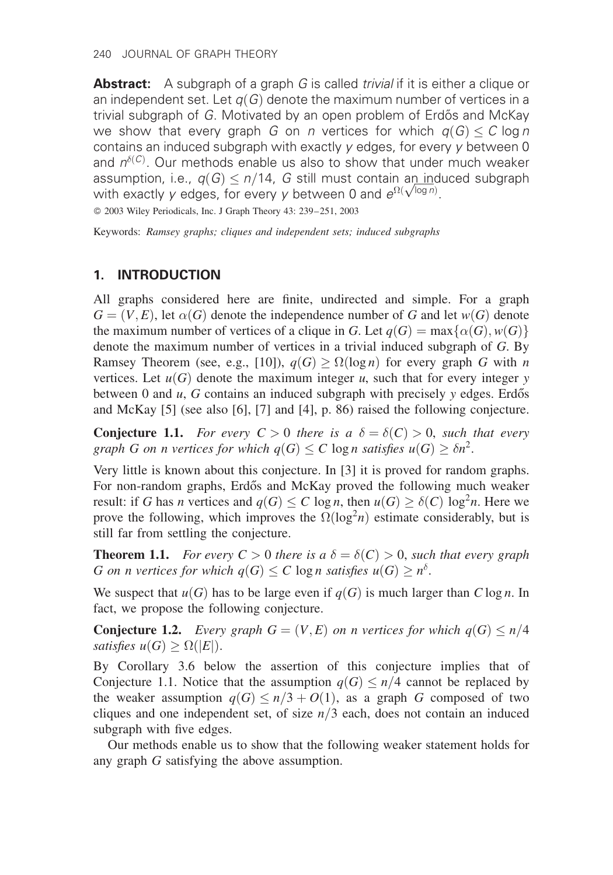Abstract: A subgraph of a graph G is called *trivial* if it is either a clique or an independent set. Let  $q(G)$  denote the maximum number of vertices in a trivial subgraph of G. Motivated by an open problem of Erdős and McKay we show that every graph G on n vertices for which  $q(G) < C \log n$ contains an induced subgraph with exactly y edges, for every y between 0 and  $n^{\delta(C)}$ . Our methods enable us also to show that under much weaker assumption, i.e.,  $q(G) \leq n/14$ , G still must contain an induced subgraph assumption, i.e.,  $q(G) \le n/14$ ,  $G$  still must contain an ind<br>with exactly y edges, for every y between 0 and  $e^{\Omega(\sqrt{\log n})}.$ 

2003 Wiley Periodicals, Inc. J Graph Theory 43: 239–251, 2003

Keywords: Ramsey graphs; cliques and independent sets; induced subgraphs

# 1. INTRODUCTION

All graphs considered here are finite, undirected and simple. For a graph  $G = (V, E)$ , let  $\alpha(G)$  denote the independence number of G and let  $w(G)$  denote the maximum number of vertices of a clique in G. Let  $q(G) = \max\{\alpha(G), w(G)\}\$ denote the maximum number of vertices in a trivial induced subgraph of G. By Ramsey Theorem (see, e.g., [10]),  $q(G) \ge \Omega(\log n)$  for every graph G with n vertices. Let  $u(G)$  denote the maximum integer u, such that for every integer y between 0 and  $u$ ,  $G$  contains an induced subgraph with precisely  $y$  edges. Erdős and McKay [5] (see also [6], [7] and [4], p. 86) raised the following conjecture.

**Conjecture 1.1.** For every  $C > 0$  there is a  $\delta = \delta(C) > 0$ , such that every graph G on n vertices for which  $q(G) \leq C \log n$  satisfies  $u(G) \geq \delta n^2$ .

Very little is known about this conjecture. In [3] it is proved for random graphs. For non-random graphs, Erdős and McKay proved the following much weaker result: if G has *n* vertices and  $q(G) \leq C \log n$ , then  $u(G) \geq \delta(C) \log^2 n$ . Here we prove the following, which improves the  $\Omega(\log^2 n)$  estimate considerably, but is still far from settling the conjecture.

**Theorem 1.1.** For every  $C > 0$  there is a  $\delta = \delta(C) > 0$ , such that every graph G on n vertices for which  $q(G) \leq C \log n$  satisfies  $u(G) \geq n^{\delta}$ .

We suspect that  $u(G)$  has to be large even if  $q(G)$  is much larger than  $C \log n$ . In fact, we propose the following conjecture.

**Conjecture 1.2.** Every graph  $G = (V, E)$  on n vertices for which  $q(G) \leq n/4$ satisfies  $u(G) \ge \Omega(|E|)$ .

By Corollary 3.6 below the assertion of this conjecture implies that of Conjecture 1.1. Notice that the assumption  $q(G) \leq n/4$  cannot be replaced by the weaker assumption  $q(G) \leq n/3 + O(1)$ , as a graph G composed of two cliques and one independent set, of size  $n/3$  each, does not contain an induced subgraph with five edges.

Our methods enable us to show that the following weaker statement holds for any graph G satisfying the above assumption.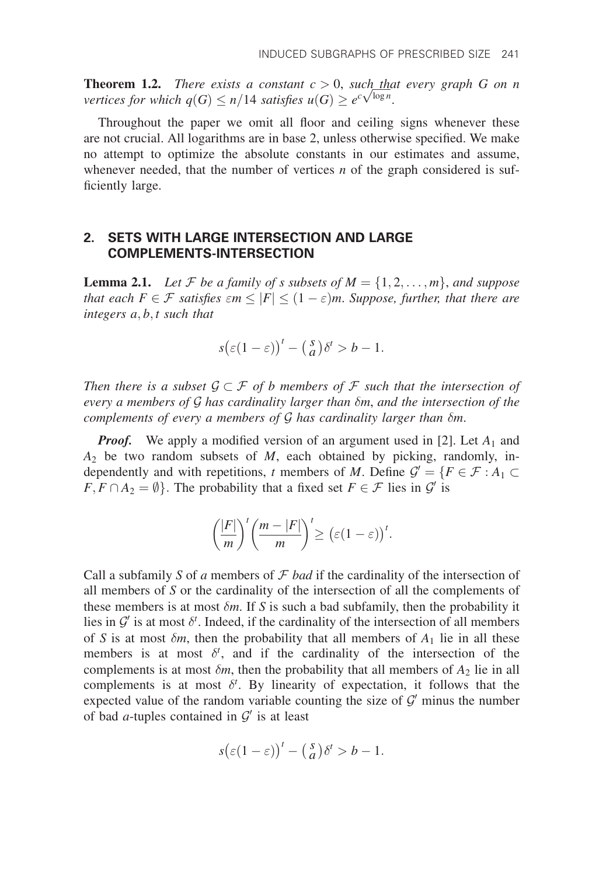**Theorem 1.2.** There exists a constant  $c > 0$ , such that every graph G on n<br>vertices for which  $a(G) \le n/14$  satisfies  $u(G) \ge a^c \sqrt{\log n}$ **Theorem 1.2.** There exists a constant  $c > 0$ , such that vertices for which  $q(G) \leq n/14$  satisfies  $u(G) \geq e^{c\sqrt{\log n}}$ .

Throughout the paper we omit all floor and ceiling signs whenever these are not crucial. All logarithms are in base 2, unless otherwise specified. We make no attempt to optimize the absolute constants in our estimates and assume, whenever needed, that the number of vertices  $n$  of the graph considered is sufficiently large.

## 2. SETS WITH LARGE INTERSECTION AND LARGE COMPLEMENTS-INTERSECTION

**Lemma 2.1.** Let F be a family of s subsets of  $M = \{1, 2, \ldots, m\}$ , and suppose that each  $F \in \mathcal{F}$  satisfies  $\epsilon m \leq |F| \leq (1 - \epsilon)m$ . Suppose, further, that there are integers  $a, b, t$  such that

$$
s(\varepsilon(1-\varepsilon))^{t} - \left(\begin{array}{c} s \\ a \end{array}\right)\delta^{t} > b - 1.
$$

Then there is a subset  $\mathcal{G}\subset\mathcal{F}$  of b members of  $\mathcal F$  such that the intersection of every a members of  $\mathcal G$  has cardinality larger than  $\delta m$ , and the intersection of the complements of every a members of  $G$  has cardinality larger than  $\delta m$ .

**Proof.** We apply a modified version of an argument used in [2]. Let  $A_1$  and  $A_2$  be two random subsets of M, each obtained by picking, randomly, independently and with repetitions, t members of M. Define  $\mathcal{G}' = \{F \in \mathcal{F} : A_1 \subset$  $F, F \cap A_2 = \emptyset$ . The probability that a fixed set  $F \in \mathcal{F}$  lies in  $\mathcal{G}'$  is

$$
\left(\frac{|F|}{m}\right)^t\left(\frac{m-|F|}{m}\right)^t\geq \left(\varepsilon(1-\varepsilon)\right)^t.
$$

Call a subfamily S of a members of  $\mathcal F$  bad if the cardinality of the intersection of all members of S or the cardinality of the intersection of all the complements of these members is at most  $\delta m$ . If S is such a bad subfamily, then the probability it lies in  $\mathcal{G}'$  is at most  $\delta^t$ . Indeed, if the cardinality of the intersection of all members of S is at most  $\delta m$ , then the probability that all members of  $A_1$  lie in all these members is at most  $\delta^t$ , and if the cardinality of the intersection of the complements is at most  $\delta m$ , then the probability that all members of  $A_2$  lie in all complements is at most  $\delta^t$ . By linearity of expectation, it follows that the expected value of the random variable counting the size of  $\mathcal{G}'$  minus the number of bad *a*-tuples contained in  $\mathcal{G}'$  is at least

$$
s(\varepsilon(1-\varepsilon))^{t} - \left(\begin{array}{c} s \\ a \end{array}\right)\delta^{t} > b - 1.
$$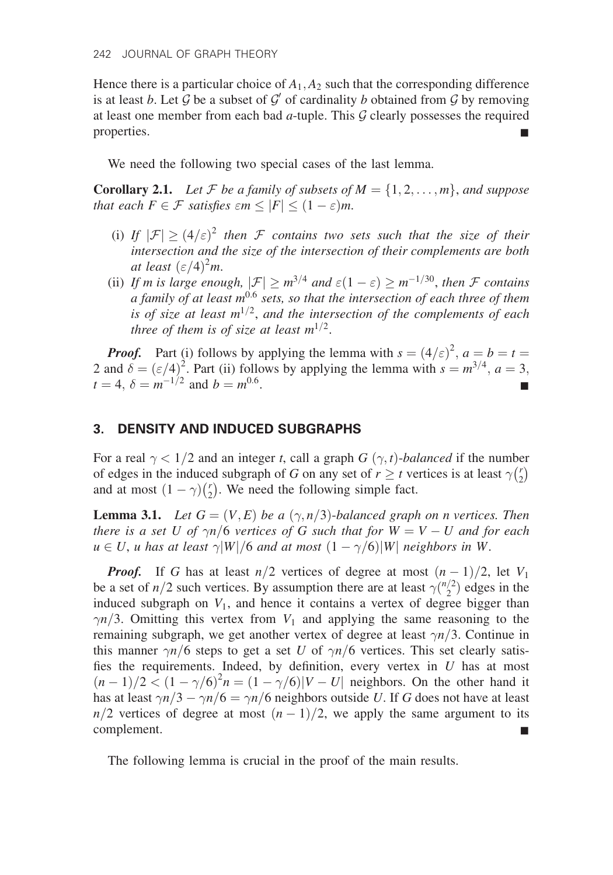Hence there is a particular choice of  $A_1, A_2$  such that the corresponding difference is at least b. Let G be a subset of  $\mathcal{G}'$  of cardinality b obtained from G by removing at least one member from each bad  $a$ -tuple. This  $G$  clearly possesses the required properties.

We need the following two special cases of the last lemma.

**Corollary 2.1.** Let F be a family of subsets of  $M = \{1, 2, \ldots, m\}$ , and suppose that each  $F \in \mathcal{F}$  satisfies  $\epsilon m \leq |F| \leq (1 - \epsilon)m$ .

- (i) If  $|\mathcal{F}| \geq (4/\varepsilon)^2$  then F contains two sets such that the size of their intersection and the size of the intersection of their complements are both at least  $(\varepsilon/4)^2 m$ .
- (ii) If m is large enough,  $|\mathcal{F}| \geq m^{3/4}$  and  $\varepsilon(1-\varepsilon) \geq m^{-1/30}$ , then F contains a family of at least  $m^{0.6}$  sets, so that the intersection of each three of them is of size at least  $m^{1/2}$ , and the intersection of the complements of each three of them is of size at least  $m^{1/2}$ .

**Proof.** Part (i) follows by applying the lemma with  $s = (4/\epsilon)^2$ ,  $a = b = t$ 2 and  $\delta = (\varepsilon/4)^2$ . Part (ii) follows by applying the lemma with  $s = m^{3/4}$ ,  $a = 3$ ,  $t = 4, \delta = m^{-1/2}$  and  $b = m^{0.6}$ .

#### 3. DENSITY AND INDUCED SUBGRAPHS

For a real  $\gamma < 1/2$  and an integer t, call a graph G  $(\gamma, t)$ -balanced if the number of edges in the induced subgraph of G on any set of  $r \ge t$  vertices is at least  $\gamma \binom{r}{2}$  $\frac{1}{r}$ and at most  $(1 - \gamma) {r \choose 2}$  $\binom{r}{2}$ . We need the following simple fact.

**Lemma 3.1.** Let  $G = (V, E)$  be a  $(\gamma, n/3)$ -balanced graph on n vertices. Then there is a set U of  $\gamma n/6$  vertices of G such that for  $W = V - U$  and for each  $u \in U$ , u has at least  $\gamma |W|/6$  and at most  $(1 - \gamma/6)|W|$  neighbors in W.

**Proof.** If G has at least  $n/2$  vertices of degree at most  $(n-1)/2$ , let  $V_1$ be a set of  $n/2$  such vertices. By assumption there are at least  $\gamma\binom{n/2}{2}$  edges in the induced subgraph on  $V_1$ , and hence it contains a vertex of degree bigger than  $\gamma n/3$ . Omitting this vertex from  $V_1$  and applying the same reasoning to the remaining subgraph, we get another vertex of degree at least  $\gamma n/3$ . Continue in this manner  $\gamma n/6$  steps to get a set U of  $\gamma n/6$  vertices. This set clearly satisfies the requirements. Indeed, by definition, every vertex in  $U$  has at most  $(n-1)/2 < (1 - \gamma/6)^2 n = (1 - \gamma/6)|V - U|$  neighbors. On the other hand it has at least  $\gamma n/3 - \gamma n/6 = \gamma n/6$  neighbors outside U. If G does not have at least  $n/2$  vertices of degree at most  $(n-1)/2$ , we apply the same argument to its complement.

The following lemma is crucial in the proof of the main results.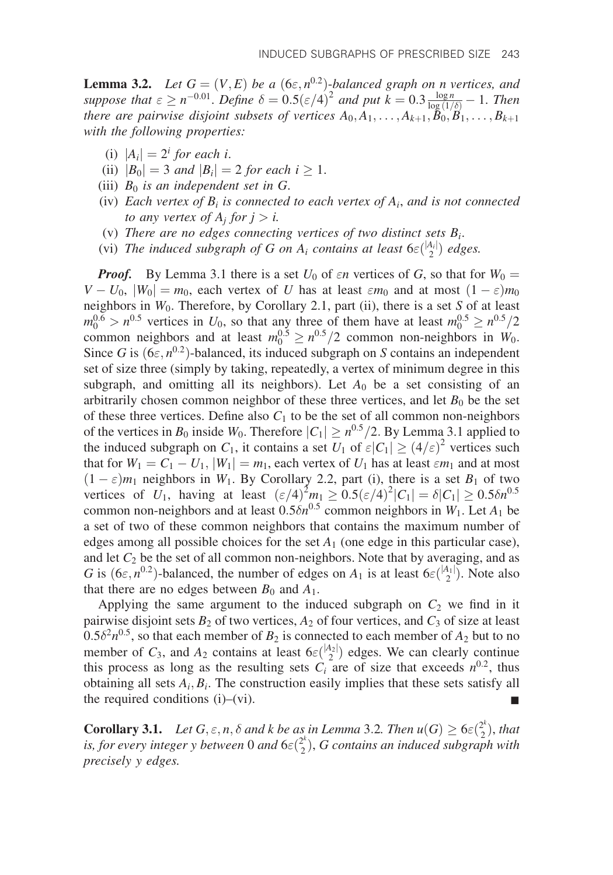**Lemma 3.2.** Let  $G = (V, E)$  be a  $(6\varepsilon, n^{0.2})$ -balanced graph on n vertices, and suppose that  $\varepsilon \ge n^{-0.01}$ . Define  $\delta = 0.5(\varepsilon/4)^2$  and put  $k = 0.3 \frac{\log n}{\log(1/\delta)} - 1$ . Then there are pairwise disjoint subsets of vertices  $A_0, A_1, \ldots, A_{k+1}, \check{B}_0, \check{B}_1, \ldots, B_{k+1}$ with the following properties:

- (i)  $|A_i| = 2^i$  for each i.
- (ii)  $|B_0| = 3$  and  $|B_i| = 2$  for each  $i \ge 1$ .
- (iii)  $B_0$  is an independent set in G.
- (iv) Each vertex of  $B_i$  is connected to each vertex of  $A_i$ , and is not connected to any vertex of  $A_i$  for  $j > i$ .
- (v) There are no edges connecting vertices of two distinct sets  $B_i$ .
- (vi) The induced subgraph of G on  $A_i$  contains at least  $6\varepsilon\binom{|A_i|}{2}$  edges.

**Proof.** By Lemma 3.1 there is a set  $U_0$  of  $\epsilon n$  vertices of G, so that for  $W_0 =$  $V - U_0$ ,  $|W_0| = m_0$ , each vertex of U has at least  $\epsilon m_0$  and at most  $(1 - \epsilon) m_0$ neighbors in  $W_0$ . Therefore, by Corollary 2.1, part (ii), there is a set S of at least  $m_0^{0.6} > n^{0.5}$  vertices in  $U_0$ , so that any three of them have at least  $m_0^{0.5} \ge n^{0.5}/2$ common neighbors and at least  $m_0^{0.5} \ge n^{0.5}/2$  common non-neighbors in  $W_0$ . Since G is  $(6\varepsilon, n^{0.2})$ -balanced, its induced subgraph on S contains an independent set of size three (simply by taking, repeatedly, a vertex of minimum degree in this subgraph, and omitting all its neighbors). Let  $A_0$  be a set consisting of an arbitrarily chosen common neighbor of these three vertices, and let  $B_0$  be the set of these three vertices. Define also  $C_1$  to be the set of all common non-neighbors of the vertices in  $B_0$  inside  $W_0$ . Therefore  $|C_1| \geq n^{0.5}/2$ . By Lemma 3.1 applied to the induced subgraph on  $C_1$ , it contains a set  $U_1$  of  $\varepsilon |C_1| \geq (4/\varepsilon)^2$  vertices such that for  $W_1 = C_1 - U_1$ ,  $|W_1| = m_1$ , each vertex of  $U_1$  has at least  $\epsilon m_1$  and at most  $(1 - \varepsilon)m_1$  neighbors in  $W_1$ . By Corollary 2.2, part (i), there is a set  $B_1$  of two vertices of  $U_1$ , having at least  $(\varepsilon/4)^2 m_1 \geq 0.5(\varepsilon/4)^2 |C_1| = \delta |C_1| \geq 0.5 \delta n^{0.5}$ common non-neighbors and at least  $0.5\delta n^{0.5}$  common neighbors in  $W_1$ . Let  $A_1$  be a set of two of these common neighbors that contains the maximum number of edges among all possible choices for the set  $A_1$  (one edge in this particular case), and let  $C_2$  be the set of all common non-neighbors. Note that by averaging, and as G is  $(6\varepsilon, n^{0.2})$ -balanced, the number of edges on  $A_1$  is at least  $6\varepsilon \binom{|A_1|}{2}$ . Note also that there are no edges between  $B_0$  and  $A_1$ .

Applying the same argument to the induced subgraph on  $C_2$  we find in it pairwise disjoint sets  $B_2$  of two vertices,  $A_2$  of four vertices, and  $C_3$  of size at least  $0.5\delta^2 n^{0.5}$ , so that each member of  $B_2$  is connected to each member of  $A_2$  but to no member of  $C_3$ , and  $A_2$  contains at least  $6\varepsilon \binom{|A_2|}{2}$  edges. We can clearly continue this process as long as the resulting sets  $C_i$  are of size that exceeds  $n^{0.2}$ , thus obtaining all sets  $A_i, B_i$ . The construction easily implies that these sets satisfy all the required conditions (i)–(vi).  $\blacksquare$ 

**Corollary 3.1.** Let  $G, \varepsilon, n, \delta$  and k be as in Lemma 3.2. Then  $u(G) \geq 6\varepsilon \binom{2^k}{2}$ , that is, for every integer y between 0 and  $6\varepsilon\binom{2^k}{2}$ , G contains an induced subgraph with precisely y edges.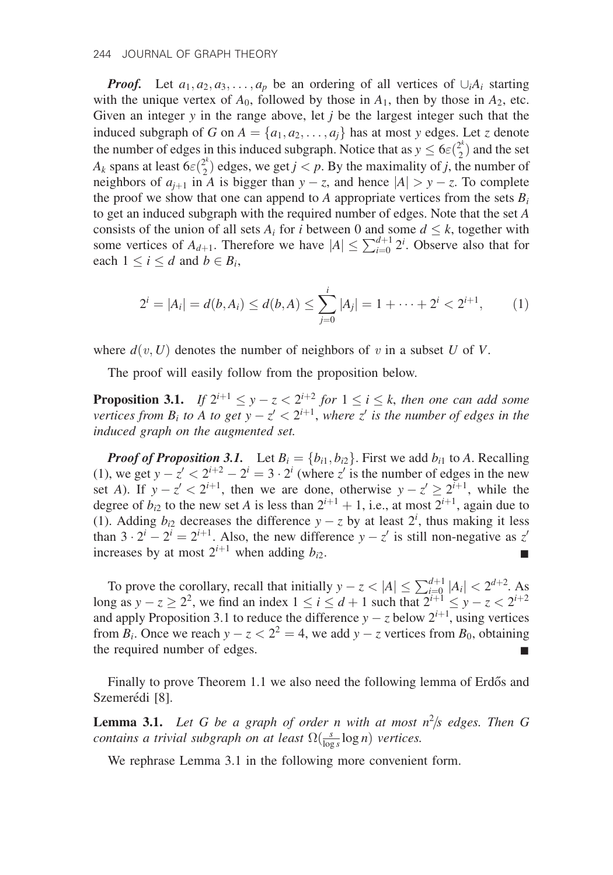**Proof.** Let  $a_1, a_2, a_3, \ldots, a_p$  be an ordering of all vertices of  $\bigcup_i A_i$  starting with the unique vertex of  $A_0$ , followed by those in  $A_1$ , then by those in  $A_2$ , etc. Given an integer  $y$  in the range above, let  $j$  be the largest integer such that the induced subgraph of G on  $A = \{a_1, a_2, \ldots, a_i\}$  has at most y edges. Let z denote the number of edges in this induced subgraph. Notice that as  $y \le 6\varepsilon \binom{2^k}{2}$  and the set  $A_k$  spans at least  $6\varepsilon \binom{2^k}{2}$  edges, we get  $j < p$ . By the maximality of j, the number of neighbors of  $a_{i+1}$  in A is bigger than  $y - z$ , and hence  $|A| > y - z$ . To complete the proof we show that one can append to A appropriate vertices from the sets  $B_i$ to get an induced subgraph with the required number of edges. Note that the set A consists of the union of all sets  $A_i$  for i between 0 and some  $d \leq k$ , together with some vertices of  $A_{d+1}$ . Therefore we have  $|A| \le \sum_{i=0}^{d+1} 2^i$ . Observe also that for each  $1 \le i \le d$  and  $b \in B_i$ ,

$$
2^{i} = |A_{i}| = d(b, A_{i}) \leq d(b, A) \leq \sum_{j=0}^{i} |A_{j}| = 1 + \dots + 2^{i} < 2^{i+1}, \qquad (1)
$$

where  $d(v, U)$  denotes the number of neighbors of v in a subset U of V.

The proof will easily follow from the proposition below.

**Proposition 3.1.** If  $2^{i+1} \le y - z < 2^{i+2}$  for  $1 \le i \le k$ , then one can add some vertices from  $B_i$  to A to get  $y - z' < 2^{i+1}$ , where z' is the number of edges in the induced graph on the augmented set.

**Proof of Proposition 3.1.** Let  $B_i = \{b_{i1}, b_{i2}\}\$ . First we add  $b_{i1}$  to A. Recalling (1), we get  $y - z' < 2^{i+2} - 2^i = 3 \cdot 2^i$  (where z' is the number of edges in the new set A). If  $y - z' < 2^{i+1}$ , then we are done, otherwise  $y - z' \ge 2^{i+1}$ , while the degree of  $b_{i2}$  to the new set A is less than  $2^{i+1} + 1$ , i.e., at most  $2^{i+1}$ , again due to (1). Adding  $b_{i2}$  decreases the difference  $y - z$  by at least  $2^i$ , thus making it less than  $3 \cdot 2^{i} - 2^{i} = 2^{i+1}$ . Also, the new difference  $y - z'$  is still non-negative as z' increases by at most  $2^{i+1}$  when adding  $b_{i2}$ .

To prove the corollary, recall that initially  $y - z < |A| \le \sum_{i=0}^{d+1} |A_i| < 2^{d+2}$ . As long as  $y - z \ge 2^2$ , we find an index  $1 \le i \le d + 1$  such that  $2^{i+1} \le y - z < 2^{i+2}$ and apply Proposition 3.1 to reduce the difference  $y - z$  below  $2^{i+1}$ , using vertices from  $B_i$ . Once we reach  $y - z < 2^2 = 4$ , we add  $y - z$  vertices from  $B_0$ , obtaining the required number of edges.

Finally to prove Theorem 1.1 we also need the following lemma of Erdős and Szemerédi [8].

**Lemma 3.1.** Let G be a graph of order n with at most  $n^2/s$  edges. Then G contains a trivial subgraph on at least  $\Omega(\frac{s}{\log s} \log n)$  vertices.

We rephrase Lemma 3.1 in the following more convenient form.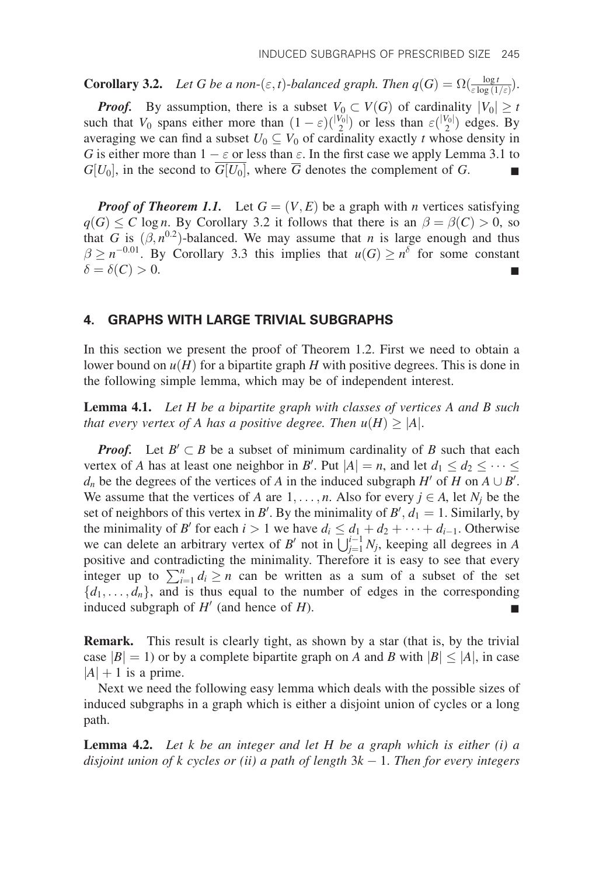**Corollary 3.2.** Let G be a non- $(\varepsilon, t)$ -balanced graph. Then  $q(G) = \Omega(\frac{\log t}{\varepsilon \log(1/\varepsilon)})$ . **Proof.** By assumption, there is a subset  $V_0 \subset V(G)$  of cardinality  $|V_0| \geq t$ such that  $V_0$  spans either more than  $(1 - \varepsilon) { |V_0| \choose 2}$  or less than  $\varepsilon { |V_0| \choose 2}$  edges. By averaging we can find a subset  $U_0 \subseteq V_0$  of cardinality exactly t whose density in G is either more than  $1 - \varepsilon$  or less than  $\varepsilon$ . In the first case we apply Lemma 3.1 to  $G[U_0]$ , in the second to  $\overline{G[U_0]}$ , where  $\overline{G}$  denotes the complement of G.

**Proof of Theorem 1.1.** Let  $G = (V, E)$  be a graph with *n* vertices satisfying  $q(G) \leq C \log n$ . By Corollary 3.2 it follows that there is an  $\beta = \beta(C) > 0$ , so that G is  $(\beta, n^{0.2})$ -balanced. We may assume that n is large enough and thus  $\beta \geq n^{-0.01}$ . By Corollary 3.3 this implies that  $u(G) \geq n^{\delta}$  for some constant  $\delta = \delta(C) > 0.$ 

### 4. GRAPHS WITH LARGE TRIVIAL SUBGRAPHS

In this section we present the proof of Theorem 1.2. First we need to obtain a lower bound on  $u(H)$  for a bipartite graph H with positive degrees. This is done in the following simple lemma, which may be of independent interest.

**Lemma 4.1.** Let H be a bipartite graph with classes of vertices A and B such that every vertex of A has a positive degree. Then  $u(H) \geq |A|$ .

**Proof.** Let  $B' \subset B$  be a subset of minimum cardinality of B such that each vertex of A has at least one neighbor in B'. Put  $|A| = n$ , and let  $d_1 \leq d_2 \leq \cdots \leq d_n$  $d_n$  be the degrees of the vertices of A in the induced subgraph H' of H on  $A \cup B'$ . We assume that the vertices of A are  $1, \ldots, n$ . Also for every  $j \in A$ , let  $N_j$  be the set of neighbors of this vertex in B'. By the minimality of  $B'$ ,  $d_1 = 1$ . Similarly, by the minimality of B' for each  $i > 1$  we have  $d_i \leq d_1 + d_2 + \cdots + d_{i-1}$ . Otherwise we can delete an arbitrary vertex of B' not in  $\bigcup_{j=1}^{i-1} N_j$ , keeping all degrees in A positive and contradicting the minimality. Therefore it is easy to see that every integer up to  $\sum_{i=1}^{n} d_i \ge n$  can be written as a sum of a subset of the set  $\{d_1, \ldots, d_n\}$ , and is thus equal to the number of edges in the corresponding induced subgraph of  $H'$  (and hence of  $H$ ).

**Remark.** This result is clearly tight, as shown by a star (that is, by the trivial case  $|B|=1$ ) or by a complete bipartite graph on A and B with  $|B| \leq |A|$ , in case  $|A| + 1$  is a prime.

Next we need the following easy lemma which deals with the possible sizes of induced subgraphs in a graph which is either a disjoint union of cycles or a long path.

**Lemma 4.2.** Let k be an integer and let H be a graph which is either  $(i)$  a disjoint union of k cycles or (ii) a path of length  $3k - 1$ . Then for every integers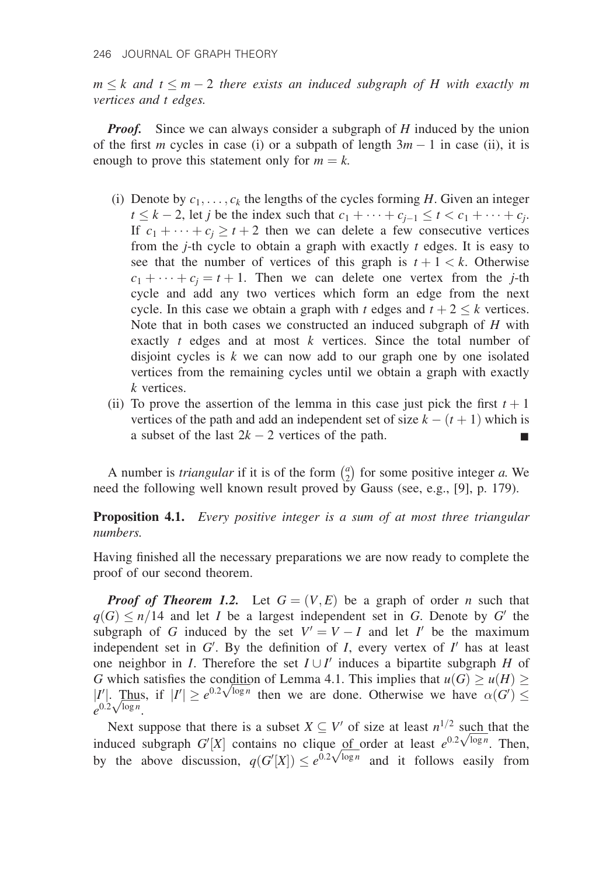$m \leq k$  and  $t \leq m - 2$  there exists an induced subgraph of H with exactly m vertices and t edges.

*Proof.* Since we can always consider a subgraph of  $H$  induced by the union of the first m cycles in case (i) or a subpath of length  $3m - 1$  in case (ii), it is enough to prove this statement only for  $m = k$ .

- (i) Denote by  $c_1, \ldots, c_k$  the lengths of the cycles forming H. Given an integer  $t \le k - 2$ , let j be the index such that  $c_1 + \cdots + c_{i-1} \le t < c_1 + \cdots + c_i$ . If  $c_1 + \cdots + c_j \ge t + 2$  then we can delete a few consecutive vertices from the *j*-th cycle to obtain a graph with exactly  $t$  edges. It is easy to see that the number of vertices of this graph is  $t + 1 < k$ . Otherwise  $c_1 + \cdots + c_i = t + 1$ . Then we can delete one vertex from the *j*-th cycle and add any two vertices which form an edge from the next cycle. In this case we obtain a graph with t edges and  $t + 2 \le k$  vertices. Note that in both cases we constructed an induced subgraph of  $H$  with exactly  $t$  edges and at most  $k$  vertices. Since the total number of disjoint cycles is  $k$  we can now add to our graph one by one isolated vertices from the remaining cycles until we obtain a graph with exactly k vertices.
- (ii) To prove the assertion of the lemma in this case just pick the first  $t + 1$ vertices of the path and add an independent set of size  $k - (t + 1)$  which is a subset of the last  $2k - 2$  vertices of the path.

A number is *triangular* if it is of the form  $\binom{a}{2}$  $\binom{a}{2}$  for some positive integer *a*. We need the following well known result proved by Gauss (see, e.g., [9], p. 179).

Proposition 4.1. Every positive integer is a sum of at most three triangular numbers.

Having finished all the necessary preparations we are now ready to complete the proof of our second theorem.

**Proof of Theorem 1.2.** Let  $G = (V, E)$  be a graph of order n such that  $q(G) \leq n/14$  and let I be a largest independent set in G. Denote by G' the subgraph of G induced by the set  $V' = V - I$  and let I' be the maximum independent set in  $G'$ . By the definition of  $I$ , every vertex of  $I'$  has at least one neighbor in *I*. Therefore the set  $I \cup I'$  induces a bipartite subgraph *H* of G which satisfies the condition of Lemma 4.1. This implies that  $u(G) \ge u(H) \ge$ <br> $|I'|$  Thus if  $|I'| > e^{0.2\sqrt{\log n}}$  then we are done. Otherwise we have  $\alpha(G') <$ G which satisfies the condition of Lemma 4.1. This implies that  $u(G) \ge u(H) \ge |I'|$ . Thus, if  $|I'| \ge e^{0.2\sqrt{\log n}}$  then we are done. Otherwise we have  $\alpha(G') \le$  $\left| \begin{array}{c} l' \end{array} \right|$ .  $\frac{1 \text{ m} \text{m}}{e^{0.2 \sqrt{\log n}}}$ .

Next suppose that there is a subset  $X \subseteq V'$  of size at least  $n^{1/2}$  such that the Next suppose that there is a subset  $X \subseteq V'$  of size at least  $n^{1/2}$  such that the induced subgraph  $G'[X]$  contains no clique of order at least  $e^{0.2\sqrt{\log n}}$ . Then, by the above discussion  $g(G'[X]) \leq e^{0.2\sqrt{\log n}}$  and it fo matriced subgraph  $G[X]$  contains no change of order at least  $e^{\lambda}$  v  $\infty$ . Then,<br>by the above discussion,  $q(G'[X]) \leq e^{0.2\sqrt{\log n}}$  and it follows easily from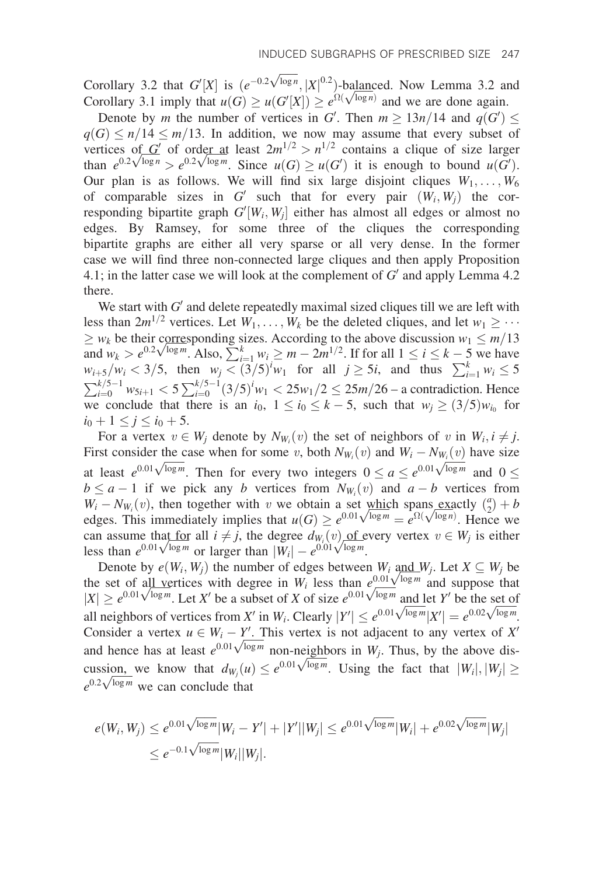Corollary 3.2 that  $G'[X]$  is  $(e^{-0.2\sqrt{\log n}}, |X|^{0.2})$ -balanced. Now Lemma 3.2 and Corollary 3.2 that  $G'[X]$  is  $(e^{-0.2\sqrt{\log n}}, |X|^{0.2})$ -balanced. Now Lemma 3.2 and Corollary 3.1 imply that  $u(G) \geq u(G'[X]) \geq e^{\Omega(\sqrt{\log n})}$  and we are done again.

Denote by m the number of vertices in G'. Then  $m \geq 13n/14$  and  $q(G') \leq$  $q(G) \le n/14 \le m/13$ . In addition, we now may assume that every subset of vertices of G' of order at least  $2m^{1/2} > n^{1/2}$  contains a clique of size larger vertices of G' of order at least  $2m^{1/2} > n^{1/2}$  contains a clique of size larger<br>than  $e^{0.2\sqrt{\log n}} > e^{0.2\sqrt{\log m}}$ . Since  $u(G) \ge u(G')$  it is enough to bound  $u(G')$ . Our plan is as follows. We will find six large disjoint cliques  $W_1, \ldots, W_6$ of comparable sizes in G' such that for every pair  $(W_i, W_j)$  the corresponding bipartite graph  $G'[W_i, W_j]$  either has almost all edges or almost no edges. By Ramsey, for some three of the cliques the corresponding bipartite graphs are either all very sparse or all very dense. In the former case we will find three non-connected large cliques and then apply Proposition 4.1; in the latter case we will look at the complement of  $G'$  and apply Lemma 4.2 there.

We start with  $G'$  and delete repeatedly maximal sized cliques till we are left with less than  $2m^{1/2}$  vertices. Let  $W_1, \ldots, W_k$  be the deleted cliques, and let  $w_1 \geq \cdots$  $\geq w_k$  be their corresponding sizes. According to the above discussion  $w_1 \leq m/13$  $\geq w_k$  be their corresponding sizes. According to the above discussion  $w_1 \leq m/13$  and  $w_k > e^{0.2\sqrt{\log m}}$ . Also,  $\sum_{i=1}^k w_i \geq m - 2m^{1/2}$ . If for all  $1 \leq i \leq k - 5$  we have  $w_{i+5}/w_i < 3/5$ , then  $w_j < (3/5)^i w_1$  for all  $j \ge 5i$ , and thus  $\sum_{i=1}^{k} w_i \le 5$  $\sum_{i=0}^{k/5-1} w_{5i+1} < 5 \sum_{i=0}^{k/5-1} (3/5)^{i} w_1 < 25w_1/2 \le 25m/26$  – a contradiction. Hence we conclude that there is an  $i_0$ ,  $1 \le i_0 \le k-5$ , such that  $w_j \ge (3/5)w_{i_0}$  for  $i_0 + 1 \leq j \leq i_0 + 5.$ 

For a vertex  $v \in W_j$  denote by  $N_{W_i}(v)$  the set of neighbors of v in  $W_i, i \neq j$ . First consider the case when for some v, both  $N_{W_i}(v)$  and  $W_i - N_{W_i}(v)$  have size This consider the case when for some v, both  $N_{W_i}(v)$  and  $W_i = N_{W_i}(v)$  have size at least  $e^{0.01\sqrt{\log m}}$ . Then for every two integers  $0 \le a \le e^{0.01\sqrt{\log m}}$  and  $0 \le$  $b \le a - 1$  if we pick any b vertices from  $N_{W_i}(v)$  and  $a - b$  vertices from  $W_i - N_{W_i}(v)$ , then together with v we obtain a set which spans exactly  $\binom{a}{2} + b$  $W_i - N_{W_i}(v)$ , then together with v we obtain a set which spans exactly  $\binom{u}{2} + b$  edges. This immediately implies that  $u(G) \ge e^{0.01\sqrt{\log m}} = e^{\Omega(\sqrt{\log n})}$ . Hence we can assume that <u>for</u> all  $i \neq j$ , the degree  $d_{W_i}(v)$  of every vertex  $v \in W_j$  is either<br>less than  $e^{0.01\sqrt{\log m}}$  or larger than  $|W_i| = e^{0.01\sqrt{\log m}}$ can assume that <u>for</u> all  $i \neq j$ , the degree  $d_{W_i}(v)$  of equal than  $e^{0.01\sqrt{\log m}}$  or larger than  $|W_i| - e^{0.01\sqrt{\log m}}$ .

Denote by  $e(W_i, W_j)$  the number of edges between  $W_i$  and  $W_j$ . Let  $X \subseteq W_j$  be the set of all vertices with degree in  $W_i$  less than  $e^{0.01\sqrt{\log m}}$  and suppose that the set of all vertices with degree in  $W_i$  less than  $e^{0.01} \sqrt{\log m}$  and suppose that  $|X| \ge e^{0.01 \sqrt{\log m}}$ . Let X' be a subset of X of size  $e^{0.01 \sqrt{\log m}}$  and let Y' be the set of  $|X| \ge e^{\cos \sqrt{x}}$ . Let X<sup>o</sup> be a subset of X of size  $e^{\cos \sqrt{x}}$  and let Y<sup>o</sup> be the set of all neighbors of vertices from X' in W<sub>i</sub>. Clearly  $|Y'| \le e^{0.01\sqrt{\log m}}|X'| = e^{0.02\sqrt{\log m}}$ . Consider a vertex  $u \in W_i - Y'$ . This vertex is not adjacent to any vertex of X' Consider a vertex  $u \in W_i - Y$ . I his vertex is not adjacent to any vertex of X<br>and hence has at least  $e^{0.01\sqrt{\log m}}$  non-neighbors in  $W_j$ . Thus, by the above disand hence has at least  $e^{i\omega t}$   $\sqrt{e^{i\omega t}}$  non-neighbors in  $W_j$ . Thus, by the above discussion, we know that  $d_{W_j}(u) \leq e^{0.01\sqrt{\log m}}$ . Using the fact that  $|W_i|, |W_j| \geq$ cussion, we know that  $d_{W_j}(u)$ <br> $e^{0.2\sqrt{\log m}}$  we can conclude that

$$
e(W_i, W_j) \le e^{0.01\sqrt{\log m}}|W_i - Y'| + |Y'||W_j| \le e^{0.01\sqrt{\log m}}|W_i| + e^{0.02\sqrt{\log m}}|W_j|
$$
  

$$
\le e^{-0.1\sqrt{\log m}}|W_i||W_j|.
$$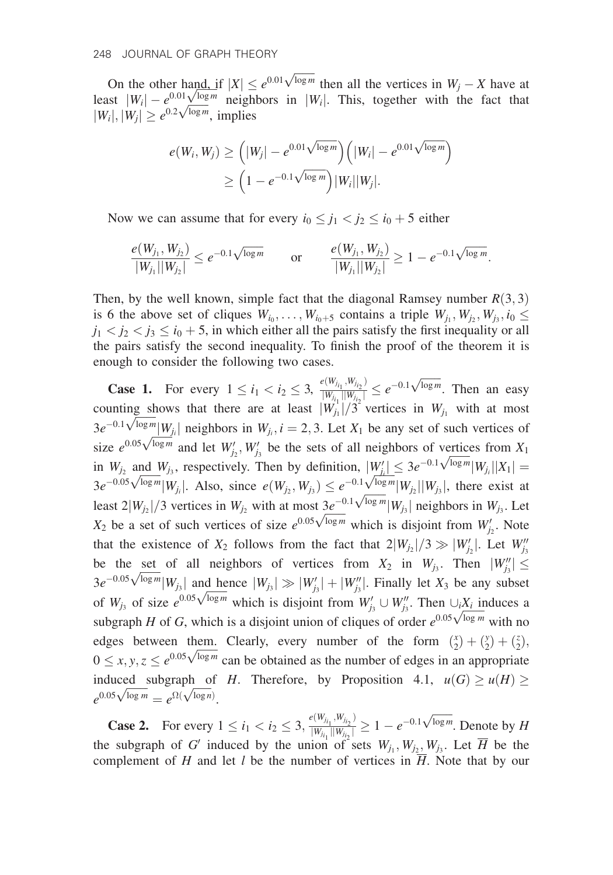On the other hand, if  $|X| \le e^{0.01\sqrt{\log m}}$  then all the vertices in  $W_j - X$  have at least  $|W_i| - e^{0.01\sqrt{\log m}}$  neighbors in  $|W_i|$ . This, together with the fact that  $|W_i| + |W_i| \ge e^{0.2\sqrt{\log m}}$  implies ieast  $|W_i| - e^{\cos \sqrt{\log m}}$  neign<br> $|W_i|, |W_j| \ge e^{0.2\sqrt{\log m}}$ , implies

$$
e(W_i, W_j) \geq (|W_j| - e^{0.01\sqrt{\log m}}) (|W_i| - e^{0.01\sqrt{\log m}})
$$
  
 
$$
\geq (1 - e^{-0.1\sqrt{\log m}}) |W_i||W_j|.
$$

Now we can assume that for every  $i_0 \leq j_1 < j_2 \leq i_0 + 5$  either

$$
\frac{e(W_{j_1}, W_{j_2})}{|W_{j_1}||W_{j_2}|} \le e^{-0.1\sqrt{\log m}} \quad \text{or} \quad \frac{e(W_{j_1}, W_{j_2})}{|W_{j_1}||W_{j_2}|} \ge 1 - e^{-0.1\sqrt{\log m}}
$$

:

Then, by the well known, simple fact that the diagonal Ramsey number  $R(3,3)$ is 6 the above set of cliques  $W_{i_0}, \ldots, W_{i_0+5}$  contains a triple  $W_{i_1}, W_{i_2}, W_{i_3}, i_0 \leq$  $j_1 < j_2 < j_3 \le i_0 + 5$ , in which either all the pairs satisfy the first inequality or all the pairs satisfy the second inequality. To finish the proof of the theorem it is enough to consider the following two cases.

**Case 1.** For every  $1 \le i_1 < i_2 \le 3$ ,  $\frac{e(W_{i_{i_1}}, W_{i_{i_2}})}{|W_{i_1}| \cdot |W_{i_2}|}$  $\frac{e(W_{j_{i_1}}, W_{j_{i_2}})}{|W_{j_{i_1}}||W_{j_{i_2}}|} \leq e^{-0.1\sqrt{\log m}}$ . Then an easy counting shows that there are at least  $|W_{j_1}|/3$  vertices in  $W_{j_1}$  with at most counting shows that there are at least  $|w_{j_1}|/3$  vertices in  $w_{j_1}$  with at most  $3e^{-0.1\sqrt{\log m}}|W_{j_1}|$  neighbors in  $W_{j_1}$ ,  $i = 2, 3$ . Let  $X_1$  be any set of such vertices of size  $e^{0.05\sqrt{\log m}}$  and let  $W'$ . When size  $e^{0.05\sqrt{\log m}}$  and let  $W'_{j_2}$ ,  $W'_{j_3}$  be the sets of all neighbors of vertices from  $X_1$ size  $e^{x+y}$  of and let  $w_{j_2}$ ,  $w_{j_3}$  be the sets of an heighbors of vertices from  $X_1$ <br>in  $W_{j_2}$  and  $W_{j_3}$ , respectively. Then by definition,  $|W'_{j_1}| \leq 3e^{-0.1\sqrt{\log m}}|W_{j_1}||X_1| =$ <br> $3e^{-0.05\sqrt{\log m}}|W_{j_1}|$ . Als Least  $2|W_{j_2}|/3$  vertices in  $W_{j_2}$  with at most  $3e^{-0.1\sqrt{\log m}}|W_{j_3}|$  neighbors in  $W_{j_3}$ . Let Let  $Z|W_{j_2}|/3$  vertices in  $W_{j_2}$  with at most  $3e^{-\sqrt{N}}$   $|W_{j_3}|$  helghoors in  $W_{j_3}$ . Let  $X_2$  be a set of such vertices of size  $e^{0.05\sqrt{\log m}}$  which is disjoint from  $W'_{j_2}$ . Note that the existence of  $X_2$  follows from the fact that  $2|W_{j_2}|/3 \gg |W'_{j_2}|$ . Let  $W''_{j_3}$ be the set of all neighbors of vertices from  $X_2$  in  $W_{j_3}$ . Then  $|W_{j_3}''| \leq$ be the set of an heighbors of vertices from  $x_2$  in  $w_{j_3}$ . Then  $|w_{j_3}| \ge$ <br> $3e^{-0.05\sqrt{\log m}}|W_{j_3}|$  and hence  $|W_{j_3}| \gg |W'_{j_3}| + |W''_{j_3}|$ . Finally let  $X_3$  be any subset se  $V = |W_{j_3}|$  and hence  $|W_{j_3}| \gg |W_{j_3}| + |W_{j_3}|$ . Finally let  $X_3$  be any subset of  $W_{j_3}$  of size  $e^{0.05\sqrt{\log m}}$  which is disjoint from  $W'_{j_3} \cup W''_{j_3}$ . Then  $\cup_i X_i$  induces a or  $w_{j_3}$  or size  $e^{i\omega t}$  we which is and will find  $w_{j_3} \cup w_{j_3}$ . Then  $\cup_i \lambda_i$  induces a subgraph H of G, which is a disjoint union of cliques of order  $e^{0.05\sqrt{\log m}}$  with no edges between them. Clearly, every number of the form  $\binom{x}{2} + \binom{y}{2} + \binom{z}{2}$ , edges between them. Clearly, every number of the form  $\left(2\right) + \left(2\right) + \left(2\right)$ ,<br>  $0 \le x, y, z \le e^{0.05\sqrt{\log m}}$  can be obtained as the number of edges in an appropriate induced subgraph of H. Therefore, by Proposition 4.1,  $u(G) \ge u(H) \ge$ maucea subgraph of<br>  $e^{0.05\sqrt{\log m}} = e^{\Omega(\sqrt{\log n})}$ .

**Case 2.** For every  $1 \le i_1 < i_2 \le 3$ ,  $\frac{e(W_{i_{i_1}}, W_{i_{i_2}})}{|W_{i_1}| |W_{i_2}|}$  $\frac{\varphi(W_{j_{i_1}}, W_{j_{i_2}})}{|W_{j_{i_1}}||W_{j_{i_2}}|} \ge 1 - e^{-0.1\sqrt{\log m}}$ . Denote by H the subgraph of G' induced by the union of sets  $W_{j_1}, W_{j_2}, W_{j_3}$ . Let  $\overline{H}$  be the complement of H and let l be the number of vertices in  $\overline{H}$ . Note that by our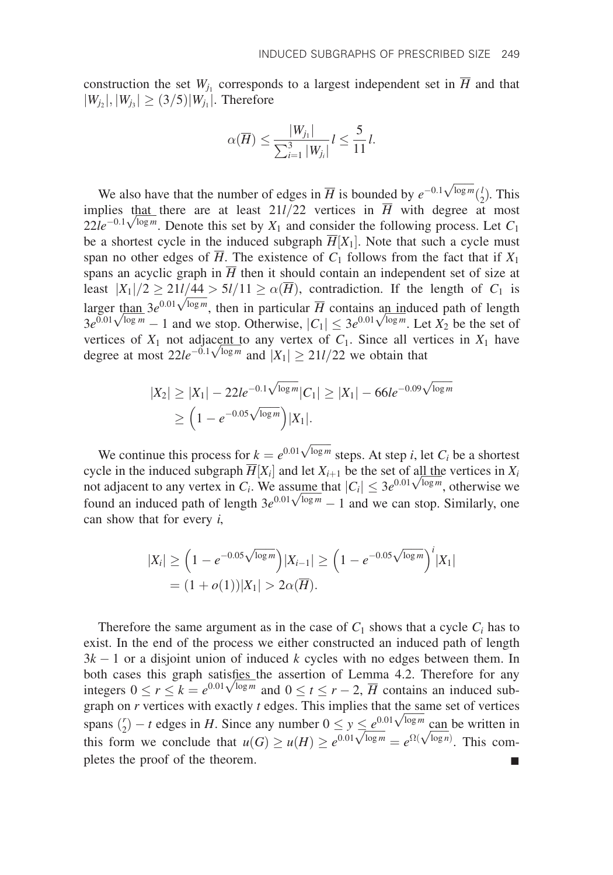construction the set  $W_{i_1}$  corresponds to a largest independent set in  $\overline{H}$  and that  $|W_{j_2}|, |W_{j_3}| \ge (3/5)|W_{j_1}|.$  Therefore

$$
\alpha(\overline{H}) \le \frac{|W_{j_1}|}{\sum_{i=1}^3 |W_{j_i}|} l \le \frac{5}{11}l.
$$

We also have that the number of edges in  $\overline{H}$  is bounded by  $e^{-0.1\sqrt{\log m}}(\frac{l}{2})$ . This implies that there are at least  $21l/22$  vertices in  $\overline{H}$  with degree at most implies that there are at least 21*l*/22 vertices in *H* with degree at most  $22le^{-0.1\sqrt{\log m}}$ . Denote this set by  $X_1$  and consider the following process. Let  $C_1$ be a shortest cycle in the induced subgraph  $\overline{H}[X_1]$ . Note that such a cycle must span no other edges of  $\overline{H}$ . The existence of  $C_1$  follows from the fact that if  $X_1$ spans an acyclic graph in  $\overline{H}$  then it should contain an independent set of size at least  $|X_1|/2 \ge 21l/44 > 5l/11 \ge \alpha(\overline{H})$ , contradiction. If the length of  $C_1$  is least  $|X_1|/2 \le 21t/44 > 3t/11 \le \alpha(H)$ , contradiction. If the length of  $C_1$  is<br>larger than  $3e^{0.01\sqrt{\log m}}$ , then in particular  $\overline{H}$  contains an induced path of length<br> $3e^{0.01\sqrt{\log m}} - 1$  and we stop. Otherwise,  $|C_1|$ vertices of  $X_1$  not adjacent to any vertex of  $C_1$ . Since all vertices in  $X_1$  have vertices or  $X_1$  not adjacent to any vertex or  $C_1$ . Since all vertegate at most  $22le^{-0.1}\sqrt{\log m}$  and  $|X_1| \ge 21l/22$  we obtain that

$$
|X_2| \ge |X_1| - 22le^{-0.1\sqrt{\log m}}|C_1| \ge |X_1| - 66le^{-0.09\sqrt{\log m}} \ge \left(1 - e^{-0.05\sqrt{\log m}}\right)|X_1|.
$$

We continue this process for  $k = e^{0.01\sqrt{\log m}}$  steps. At step *i*, let  $C_i$  be a shortest cycle in the induced subgraph  $\overline{H}[X_i]$  and let  $X_{i+1}$  be the set of all the vertices in  $X_i$ cycle in the induced subgraph  $H[X_i]$  and let  $X_{i+1}$  be the set of all the vertices in  $X_i$  not adjacent to any vertex in  $C_i$ . We assume that  $|C_i| \leq 3e^{0.01\sqrt{\log m}}$ , otherwise we not adjacent to any vertex in  $C_i$ . We assume that  $|C_i| \leq 3e^{0.01} \sqrt{\log m}$ , otherwise we found an induced path of length  $3e^{0.01} \sqrt{\log m} - 1$  and we can stop. Similarly, one can show that for every  $i$ ,

$$
|X_i| \ge \left(1 - e^{-0.05\sqrt{\log m}}\right) |X_{i-1}| \ge \left(1 - e^{-0.05\sqrt{\log m}}\right)^i |X_1|
$$
  
=  $(1 + o(1)) |X_1| > 2\alpha(\overline{H}).$ 

Therefore the same argument as in the case of  $C_1$  shows that a cycle  $C_i$  has to exist. In the end of the process we either constructed an induced path of length  $3k - 1$  or a disjoint union of induced k cycles with no edges between them. In both cases this graph satisfies the assertion of Lemma 4.2. Therefore for any both cases this graph satisfies the assertion of Lemma 4.2. Therefore for any integers  $0 \le r \le k = e^{0.01\sqrt{\log m}}$  and  $0 \le t \le r - 2$ ,  $\overline{H}$  contains an induced subgraph on  $r$  vertices with exactly  $t$  edges. This implies that the same set of vertices graph on *r* vertices with exactly *t* edges. I his implies that the same set of vertices spans  $\binom{r}{2} - t$  edges in *H*. Since any number  $0 \le y \le e^{0.01\sqrt{\log m}}$  can be written in spans  $\binom{m}{2} - t$  edges in H. Since any number  $0 \le y \le e^{3(1+\sqrt{\log n})}$  can be written in<br>this form we conclude that  $u(G) \ge u(H) \ge e^{0.01\sqrt{\log m}} = e^{\Omega(\sqrt{\log n})}$ . This completes the proof of the theorem.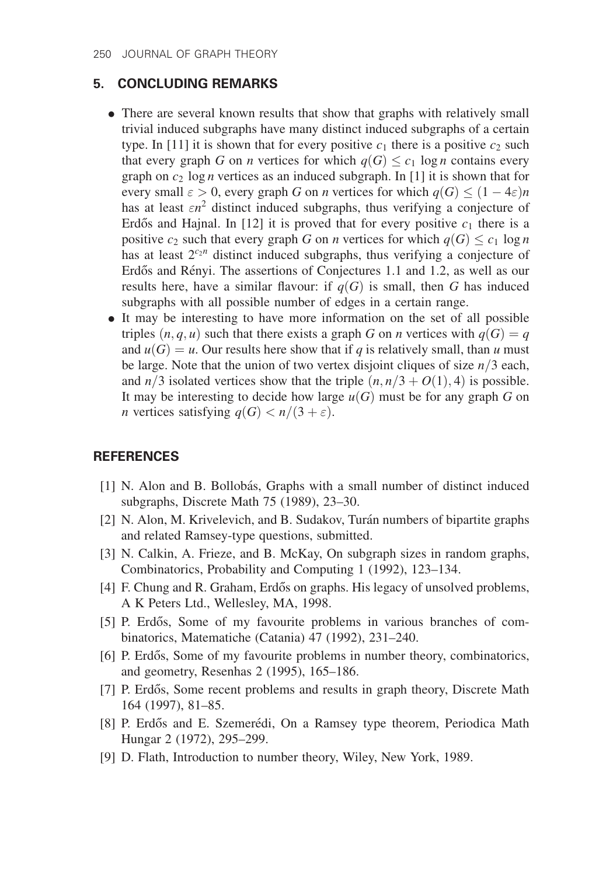# 5. CONCLUDING REMARKS

- There are several known results that show that graphs with relatively small trivial induced subgraphs have many distinct induced subgraphs of a certain type. In [11] it is shown that for every positive  $c_1$  there is a positive  $c_2$  such that every graph G on *n* vertices for which  $q(G) \leq c_1 \log n$  contains every graph on  $c_2$  log *n* vertices as an induced subgraph. In [1] it is shown that for every small  $\varepsilon > 0$ , every graph G on *n* vertices for which  $q(G) \leq (1 - 4\varepsilon)n$ has at least  $\epsilon n^2$  distinct induced subgraphs, thus verifying a conjecture of Erdős and Hajnal. In [12] it is proved that for every positive  $c_1$  there is a positive  $c_2$  such that every graph G on *n* vertices for which  $q(G) \leq c_1 \log n$ has at least  $2^{c_2n}$  distinct induced subgraphs, thus verifying a conjecture of Erdős and Rényi. The assertions of Conjectures 1.1 and 1.2, as well as our results here, have a similar flavour: if  $q(G)$  is small, then G has induced subgraphs with all possible number of edges in a certain range.
- It may be interesting to have more information on the set of all possible triples  $(n, q, u)$  such that there exists a graph G on n vertices with  $q(G) = q$ and  $u(G) = u$ . Our results here show that if q is relatively small, than u must be large. Note that the union of two vertex disjoint cliques of size  $n/3$  each, and  $n/3$  isolated vertices show that the triple  $(n, n/3 + O(1), 4)$  is possible. It may be interesting to decide how large  $u(G)$  must be for any graph G on *n* vertices satisfying  $q(G) < n/(3 + \varepsilon)$ .

## **REFERENCES**

- [1] N. Alon and B. Bollobás, Graphs with a small number of distinct induced subgraphs, Discrete Math 75 (1989), 23–30.
- [2] N. Alon, M. Krivelevich, and B. Sudakov, Turán numbers of bipartite graphs and related Ramsey-type questions, submitted.
- [3] N. Calkin, A. Frieze, and B. McKay, On subgraph sizes in random graphs, Combinatorics, Probability and Computing 1 (1992), 123–134.
- [4] F. Chung and R. Graham, Erdős on graphs. His legacy of unsolved problems, A K Peters Ltd., Wellesley, MA, 1998.
- [5] P. Erdős, Some of my favourite problems in various branches of combinatorics, Matematiche (Catania) 47 (1992), 231–240.
- [6] P. Erdős, Some of my favourite problems in number theory, combinatorics, and geometry, Resenhas 2 (1995), 165–186.
- [7] P. Erdős, Some recent problems and results in graph theory, Discrete Math 164 (1997), 81–85.
- [8] P. Erdős and E. Szemerédi, On a Ramsey type theorem, Periodica Math Hungar 2 (1972), 295–299.
- [9] D. Flath, Introduction to number theory, Wiley, New York, 1989.